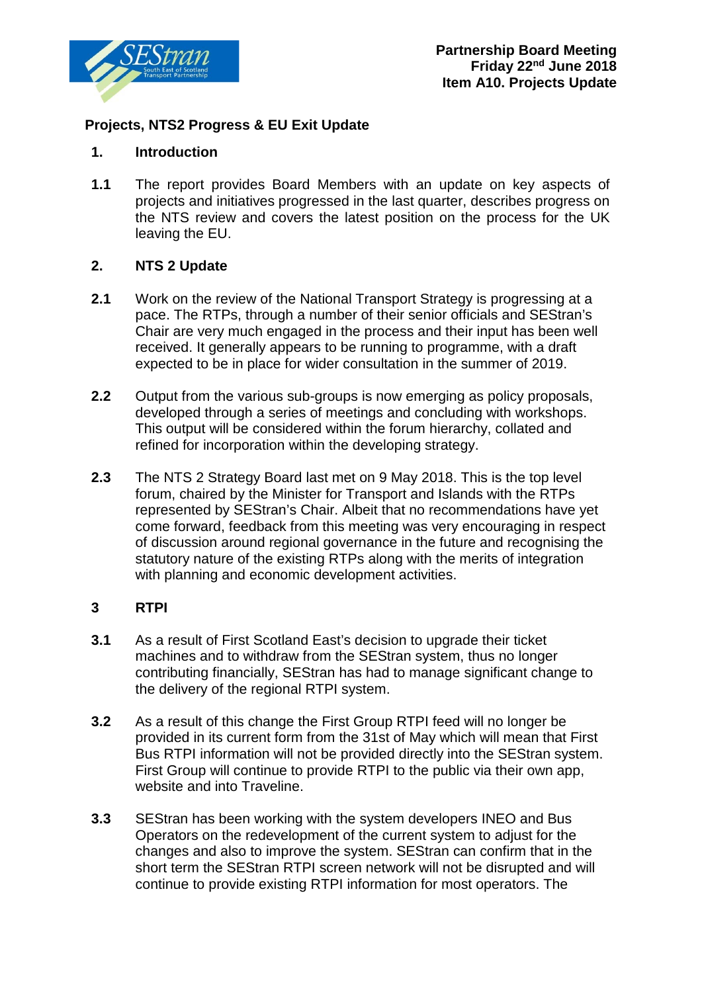

# **Projects, NTS2 Progress & EU Exit Update**

## **1. Introduction**

**1.1** The report provides Board Members with an update on key aspects of projects and initiatives progressed in the last quarter, describes progress on the NTS review and covers the latest position on the process for the UK leaving the EU.

## **2. NTS 2 Update**

- **2.1** Work on the review of the National Transport Strategy is progressing at a pace. The RTPs, through a number of their senior officials and SEStran's Chair are very much engaged in the process and their input has been well received. It generally appears to be running to programme, with a draft expected to be in place for wider consultation in the summer of 2019.
- **2.2** Output from the various sub-groups is now emerging as policy proposals, developed through a series of meetings and concluding with workshops. This output will be considered within the forum hierarchy, collated and refined for incorporation within the developing strategy.
- **2.3** The NTS 2 Strategy Board last met on 9 May 2018. This is the top level forum, chaired by the Minister for Transport and Islands with the RTPs represented by SEStran's Chair. Albeit that no recommendations have yet come forward, feedback from this meeting was very encouraging in respect of discussion around regional governance in the future and recognising the statutory nature of the existing RTPs along with the merits of integration with planning and economic development activities.

## **3 RTPI**

- **3.1** As a result of First Scotland East's decision to upgrade their ticket machines and to withdraw from the SEStran system, thus no longer contributing financially, SEStran has had to manage significant change to the delivery of the regional RTPI system.
- **3.2** As a result of this change the First Group RTPI feed will no longer be provided in its current form from the 31st of May which will mean that First Bus RTPI information will not be provided directly into the SEStran system. First Group will continue to provide RTPI to the public via their own app, website and into Traveline.
- **3.3** SEStran has been working with the system developers INEO and Bus Operators on the redevelopment of the current system to adjust for the changes and also to improve the system. SEStran can confirm that in the short term the SEStran RTPI screen network will not be disrupted and will continue to provide existing RTPI information for most operators. The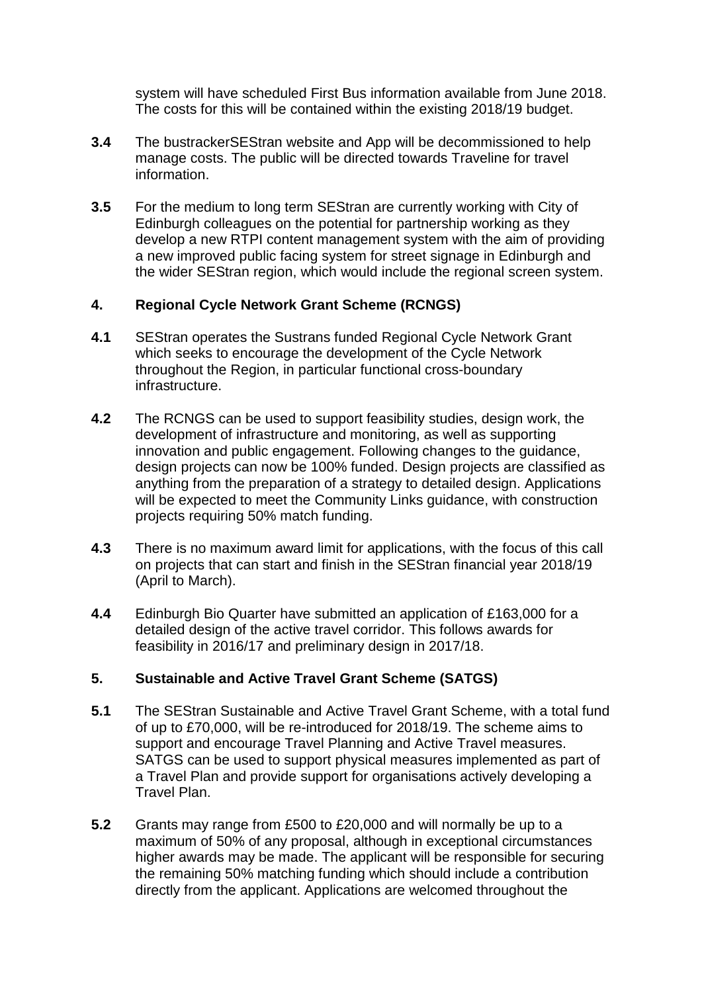system will have scheduled First Bus information available from June 2018. The costs for this will be contained within the existing 2018/19 budget.

- **3.4** The bustrackerSEStran website and App will be decommissioned to help manage costs. The public will be directed towards Traveline for travel information.
- **3.5** For the medium to long term SEStran are currently working with City of Edinburgh colleagues on the potential for partnership working as they develop a new RTPI content management system with the aim of providing a new improved public facing system for street signage in Edinburgh and the wider SEStran region, which would include the regional screen system.

### **4. Regional Cycle Network Grant Scheme (RCNGS)**

- **4.1** SEStran operates the Sustrans funded Regional Cycle Network Grant which seeks to encourage the development of the Cycle Network throughout the Region, in particular functional cross-boundary infrastructure.
- **4.2** The RCNGS can be used to support feasibility studies, design work, the development of infrastructure and monitoring, as well as supporting innovation and public engagement. Following changes to the guidance, design projects can now be 100% funded. Design projects are classified as anything from the preparation of a strategy to detailed design. Applications will be expected to meet the Community Links guidance, with construction projects requiring 50% match funding.
- **4.3** There is no maximum award limit for applications, with the focus of this call on projects that can start and finish in the SEStran financial year 2018/19 (April to March).
- **4.4** Edinburgh Bio Quarter have submitted an application of £163,000 for a detailed design of the active travel corridor. This follows awards for feasibility in 2016/17 and preliminary design in 2017/18.

## **5. Sustainable and Active Travel Grant Scheme (SATGS)**

- **5.1** The SEStran Sustainable and Active Travel Grant Scheme, with a total fund of up to £70,000, will be re-introduced for 2018/19. The scheme aims to support and encourage Travel Planning and Active Travel measures. SATGS can be used to support physical measures implemented as part of a Travel Plan and provide support for organisations actively developing a Travel Plan.
- **5.2** Grants may range from £500 to £20,000 and will normally be up to a maximum of 50% of any proposal, although in exceptional circumstances higher awards may be made. The applicant will be responsible for securing the remaining 50% matching funding which should include a contribution directly from the applicant. Applications are welcomed throughout the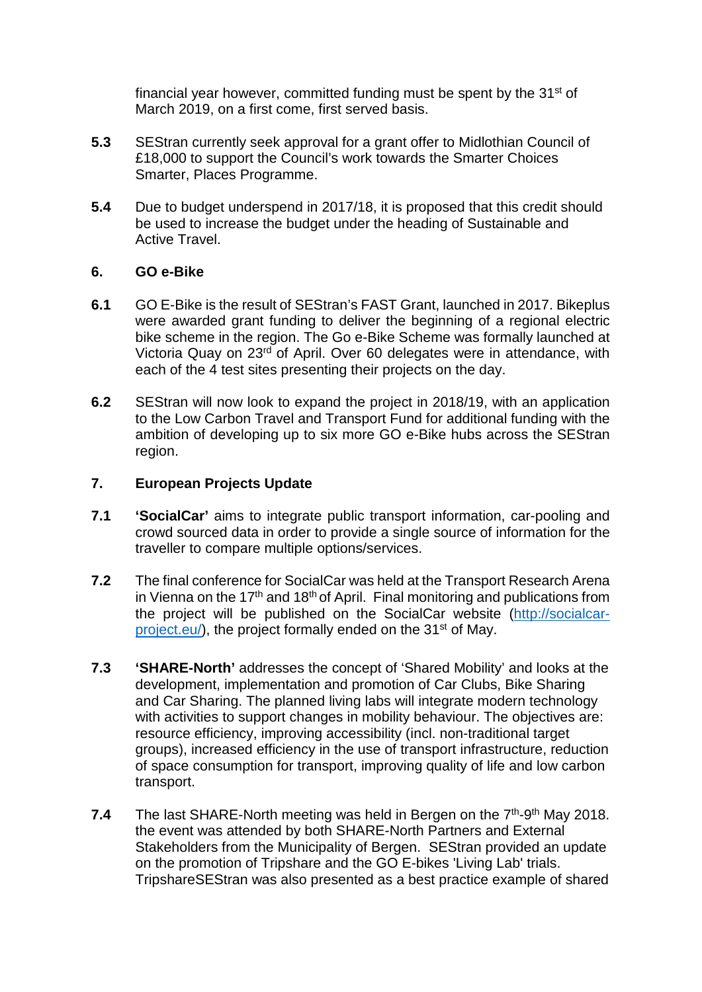financial year however, committed funding must be spent by the 31<sup>st</sup> of March 2019, on a first come, first served basis.

- **5.3** SEStran currently seek approval for a grant offer to Midlothian Council of £18,000 to support the Council's work towards the Smarter Choices Smarter, Places Programme.
- **5.4** Due to budget underspend in 2017/18, it is proposed that this credit should be used to increase the budget under the heading of Sustainable and Active Travel.

### **6. GO e-Bike**

- **6.1** GO E-Bike is the result of SEStran's FAST Grant, launched in 2017. Bikeplus were awarded grant funding to deliver the beginning of a regional electric bike scheme in the region. The Go e-Bike Scheme was formally launched at Victoria Quay on 23<sup>rd</sup> of April. Over 60 delegates were in attendance, with each of the 4 test sites presenting their projects on the day.
- **6.2** SEStran will now look to expand the project in 2018/19, with an application to the Low Carbon Travel and Transport Fund for additional funding with the ambition of developing up to six more GO e-Bike hubs across the SEStran region.

### **7. European Projects Update**

- **7.1 'SocialCar'** aims to integrate public transport information, car-pooling and crowd sourced data in order to provide a single source of information for the traveller to compare multiple options/services.
- **7.2** The final conference for SocialCar was held at the Transport Research Arena in Vienna on the  $17<sup>th</sup>$  and  $18<sup>th</sup>$  of April. Final monitoring and publications from the project will be published on the SocialCar website [\(http://socialcar](http://socialcar-project.eu/)[project.eu/\)](http://socialcar-project.eu/), the project formally ended on the 31<sup>st</sup> of May.
- **7.3 'SHARE-North'** addresses the concept of 'Shared Mobility' and looks at the development, implementation and promotion of Car Clubs, Bike Sharing and Car Sharing. The planned living labs will integrate modern technology with activities to support changes in mobility behaviour. The objectives are: resource efficiency, improving accessibility (incl. non-traditional target groups), increased efficiency in the use of transport infrastructure, reduction of space consumption for transport, improving quality of life and low carbon transport.
- **7.4** The last SHARE-North meeting was held in Bergen on the 7<sup>th</sup>-9<sup>th</sup> May 2018. the event was attended by both SHARE-North Partners and External Stakeholders from the Municipality of Bergen. SEStran provided an update on the promotion of Tripshare and the GO E-bikes 'Living Lab' trials. TripshareSEStran was also presented as a best practice example of shared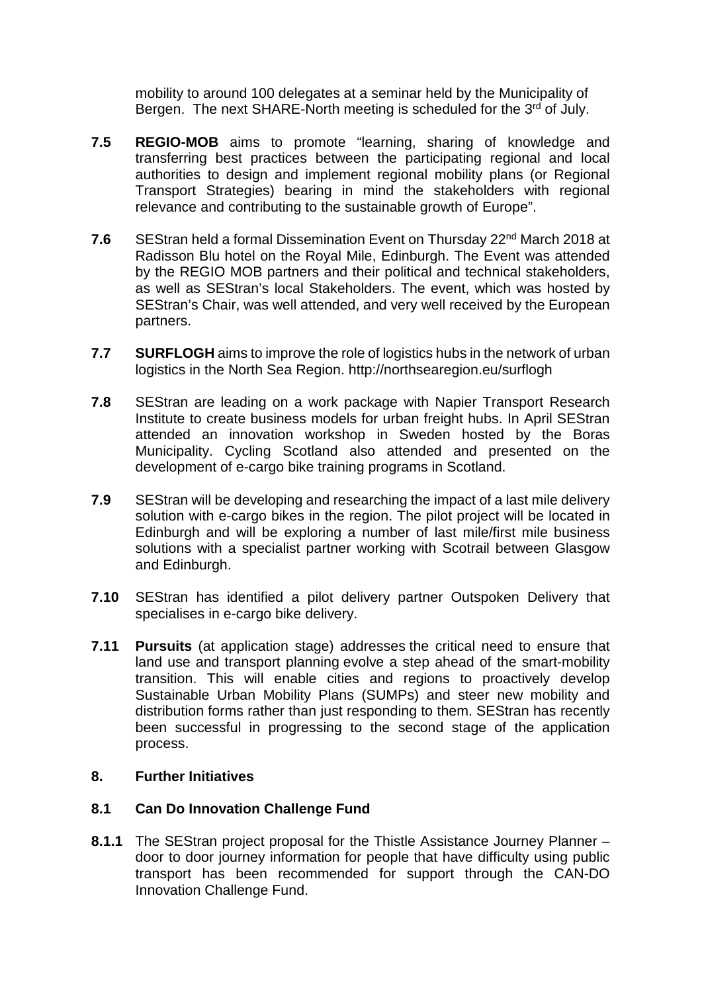mobility to around 100 delegates at a seminar held by the Municipality of Bergen. The next SHARE-North meeting is scheduled for the 3<sup>rd</sup> of July.

- **7.5 REGIO-MOB** aims to promote "learning, sharing of knowledge and transferring best practices between the participating regional and local authorities to design and implement regional mobility plans (or Regional Transport Strategies) bearing in mind the stakeholders with regional relevance and contributing to the sustainable growth of Europe".
- **7.6** SEStran held a formal Dissemination Event on Thursday 22<sup>nd</sup> March 2018 at Radisson Blu hotel on the Royal Mile, Edinburgh. The Event was attended by the REGIO MOB partners and their political and technical stakeholders, as well as SEStran's local Stakeholders. The event, which was hosted by SEStran's Chair, was well attended, and very well received by the European partners.
- **7.7 SURFLOGH** aims to improve the role of logistics hubs in the network of urban logistics in the North Sea Region. http://northsearegion.eu/surflogh
- **7.8** SEStran are leading on a work package with Napier Transport Research Institute to create business models for urban freight hubs. In April SEStran attended an innovation workshop in Sweden hosted by the Boras Municipality. Cycling Scotland also attended and presented on the development of e-cargo bike training programs in Scotland.
- **7.9** SEStran will be developing and researching the impact of a last mile delivery solution with e-cargo bikes in the region. The pilot project will be located in Edinburgh and will be exploring a number of last mile/first mile business solutions with a specialist partner working with Scotrail between Glasgow and Edinburgh.
- **7.10** SEStran has identified a pilot delivery partner Outspoken Delivery that specialises in e-cargo bike delivery.
- **7.11 Pursuits** (at application stage) addresses the critical need to ensure that land use and transport planning evolve a step ahead of the smart-mobility transition. This will enable cities and regions to proactively develop Sustainable Urban Mobility Plans (SUMPs) and steer new mobility and distribution forms rather than just responding to them. SEStran has recently been successful in progressing to the second stage of the application process.

### **8. Further Initiatives**

### **8.1 Can Do Innovation Challenge Fund**

**8.1.1** The SEStran project proposal for the Thistle Assistance Journey Planner – door to door journey information for people that have difficulty using public transport has been recommended for support through the CAN-DO Innovation Challenge Fund.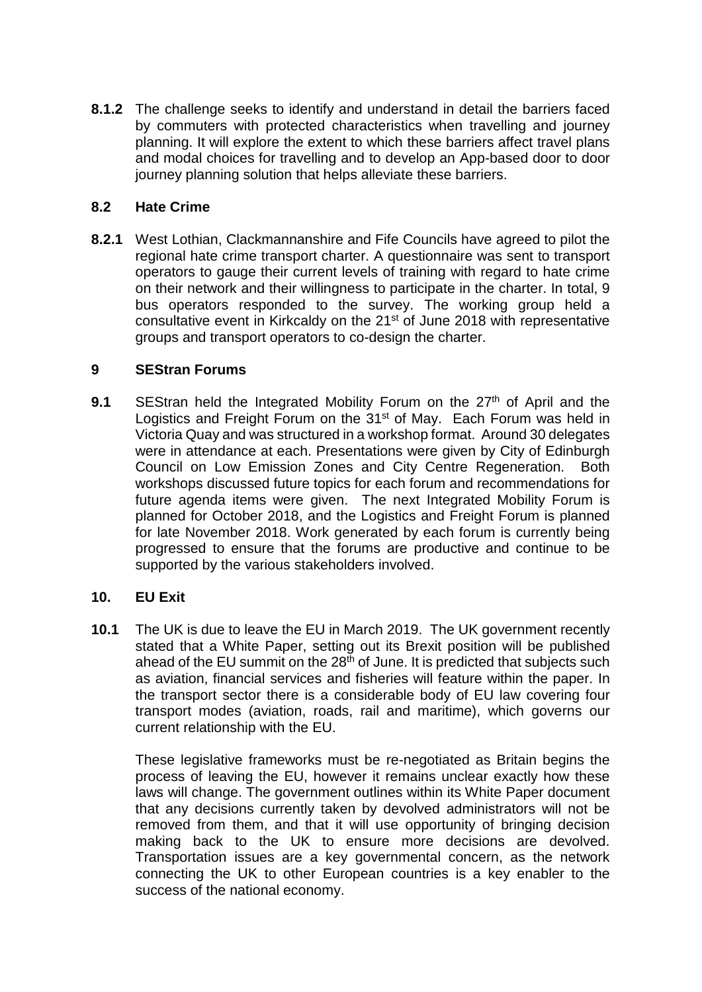**8.1.2** The challenge seeks to identify and understand in detail the barriers faced by commuters with protected characteristics when travelling and journey planning. It will explore the extent to which these barriers affect travel plans and modal choices for travelling and to develop an App-based door to door journey planning solution that helps alleviate these barriers.

### **8.2 Hate Crime**

**8.2.1** West Lothian, Clackmannanshire and Fife Councils have agreed to pilot the regional hate crime transport charter. A questionnaire was sent to transport operators to gauge their current levels of training with regard to hate crime on their network and their willingness to participate in the charter. In total, 9 bus operators responded to the survey. The working group held a consultative event in Kirkcaldy on the 21<sup>st</sup> of June 2018 with representative groups and transport operators to co-design the charter.

### **9 SEStran Forums**

**9.1** SEStran held the Integrated Mobility Forum on the 27<sup>th</sup> of April and the Logistics and Freight Forum on the 31<sup>st</sup> of May. Each Forum was held in Victoria Quay and was structured in a workshop format. Around 30 delegates were in attendance at each. Presentations were given by City of Edinburgh Council on Low Emission Zones and City Centre Regeneration. Both workshops discussed future topics for each forum and recommendations for future agenda items were given. The next Integrated Mobility Forum is planned for October 2018, and the Logistics and Freight Forum is planned for late November 2018. Work generated by each forum is currently being progressed to ensure that the forums are productive and continue to be supported by the various stakeholders involved.

### **10. EU Exit**

**10.1** The UK is due to leave the EU in March 2019. The UK government recently stated that a White Paper, setting out its Brexit position will be published ahead of the EU summit on the  $28<sup>th</sup>$  of June. It is predicted that subjects such as aviation, financial services and fisheries will feature within the paper. In the transport sector there is a considerable body of EU law covering four transport modes (aviation, roads, rail and maritime), which governs our current relationship with the EU.

These legislative frameworks must be re-negotiated as Britain begins the process of leaving the EU, however it remains unclear exactly how these laws will change. The government outlines within its White Paper document that any decisions currently taken by devolved administrators will not be removed from them, and that it will use opportunity of bringing decision making back to the UK to ensure more decisions are devolved. Transportation issues are a key governmental concern, as the network connecting the UK to other European countries is a key enabler to the success of the national economy.